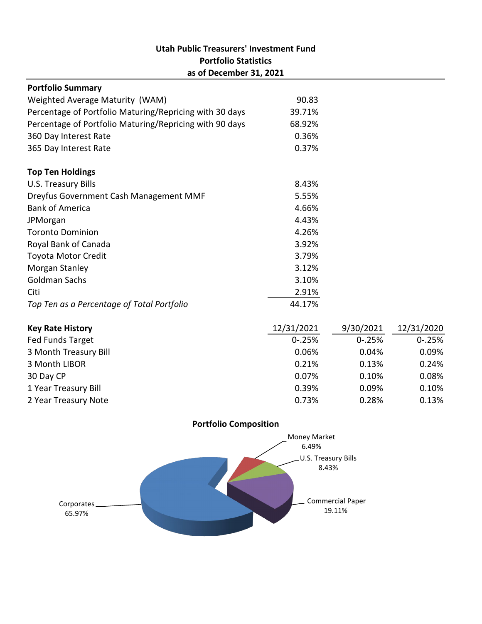# **Utah Public Treasurers' Investment Fund Portfolio Statistics as of December 31, 2021**

| <b>Portfolio Summary</b>                                |        |  |
|---------------------------------------------------------|--------|--|
| Weighted Average Maturity (WAM)                         | 90.83  |  |
| Percentage of Portfolio Maturing/Repricing with 30 days | 39.71% |  |
| Percentage of Portfolio Maturing/Repricing with 90 days | 68.92% |  |
| 360 Day Interest Rate                                   | 0.36%  |  |
| 365 Day Interest Rate                                   | 0.37%  |  |
|                                                         |        |  |
| <b>Top Ten Holdings</b>                                 |        |  |
| U.S. Treasury Bills                                     | 8.43%  |  |
| Dreyfus Government Cash Management MMF                  | 5.55%  |  |
| <b>Bank of America</b>                                  | 4.66%  |  |
| JPMorgan                                                | 4.43%  |  |
| <b>Toronto Dominion</b>                                 | 4.26%  |  |
| Royal Bank of Canada                                    | 3.92%  |  |
| <b>Toyota Motor Credit</b>                              | 3.79%  |  |
| Morgan Stanley                                          | 3.12%  |  |
| Goldman Sachs                                           | 3.10%  |  |
| Citi                                                    | 2.91%  |  |
| Top Ten as a Percentage of Total Portfolio              | 44.17% |  |

| <b>Key Rate History</b> | 12/31/2021  | 9/30/2021   | 12/31/2020  |
|-------------------------|-------------|-------------|-------------|
| Fed Funds Target        | $0 - 0.25%$ | $0 - 0.25%$ | $0 - 0.25%$ |
| 3 Month Treasury Bill   | 0.06%       | 0.04%       | 0.09%       |
| 3 Month LIBOR           | 0.21%       | 0.13%       | 0.24%       |
| 30 Day CP               | 0.07%       | 0.10%       | 0.08%       |
| 1 Year Treasury Bill    | 0.39%       | 0.09%       | 0.10%       |
| 2 Year Treasury Note    | 0.73%       | 0.28%       | 0.13%       |



### **Portfolio Composition**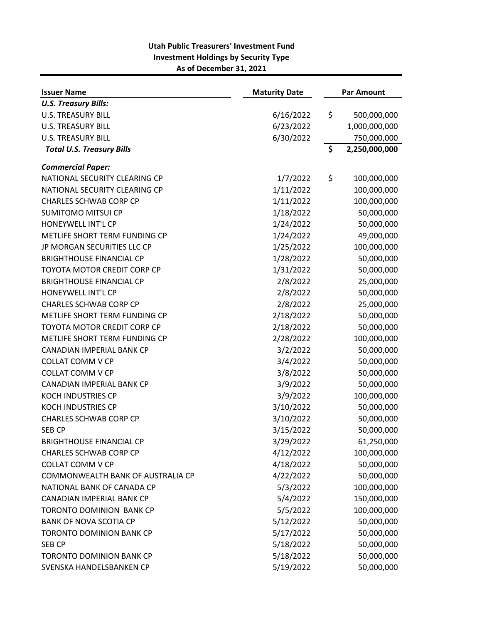| <b>Issuer Name</b>                | <b>Maturity Date</b> | <b>Par Amount</b> |               |
|-----------------------------------|----------------------|-------------------|---------------|
| <b>U.S. Treasury Bills:</b>       |                      |                   |               |
| <b>U.S. TREASURY BILL</b>         | 6/16/2022            | \$                | 500,000,000   |
| <b>U.S. TREASURY BILL</b>         | 6/23/2022            |                   | 1,000,000,000 |
| <b>U.S. TREASURY BILL</b>         | 6/30/2022            |                   | 750,000,000   |
| <b>Total U.S. Treasury Bills</b>  |                      | \$                | 2,250,000,000 |
| <b>Commercial Paper:</b>          |                      |                   |               |
| NATIONAL SECURITY CLEARING CP     | 1/7/2022             | \$                | 100,000,000   |
| NATIONAL SECURITY CLEARING CP     | 1/11/2022            |                   | 100,000,000   |
| <b>CHARLES SCHWAB CORP CP</b>     | 1/11/2022            |                   | 100,000,000   |
| <b>SUMITOMO MITSUI CP</b>         | 1/18/2022            |                   | 50,000,000    |
| HONEYWELL INT'L CP                | 1/24/2022            |                   | 50,000,000    |
| METLIFE SHORT TERM FUNDING CP     | 1/24/2022            |                   | 49,000,000    |
| JP MORGAN SECURITIES LLC CP       | 1/25/2022            |                   | 100,000,000   |
| <b>BRIGHTHOUSE FINANCIAL CP</b>   | 1/28/2022            |                   | 50,000,000    |
| TOYOTA MOTOR CREDIT CORP CP       | 1/31/2022            |                   | 50,000,000    |
| <b>BRIGHTHOUSE FINANCIAL CP</b>   | 2/8/2022             |                   | 25,000,000    |
| HONEYWELL INT'L CP                | 2/8/2022             |                   | 50,000,000    |
| <b>CHARLES SCHWAB CORP CP</b>     | 2/8/2022             |                   | 25,000,000    |
| METLIFE SHORT TERM FUNDING CP     | 2/18/2022            |                   | 50,000,000    |
| TOYOTA MOTOR CREDIT CORP CP       | 2/18/2022            |                   | 50,000,000    |
| METLIFE SHORT TERM FUNDING CP     | 2/28/2022            |                   | 100,000,000   |
| CANADIAN IMPERIAL BANK CP         | 3/2/2022             |                   | 50,000,000    |
| <b>COLLAT COMM V CP</b>           | 3/4/2022             |                   | 50,000,000    |
| <b>COLLAT COMM V CP</b>           | 3/8/2022             |                   | 50,000,000    |
| CANADIAN IMPERIAL BANK CP         | 3/9/2022             |                   | 50,000,000    |
| <b>KOCH INDUSTRIES CP</b>         | 3/9/2022             |                   | 100,000,000   |
| <b>KOCH INDUSTRIES CP</b>         | 3/10/2022            |                   | 50,000,000    |
| <b>CHARLES SCHWAB CORP CP</b>     | 3/10/2022            |                   | 50,000,000    |
| <b>SEB CP</b>                     | 3/15/2022            |                   | 50,000,000    |
| <b>BRIGHTHOUSE FINANCIAL CP</b>   | 3/29/2022            |                   | 61,250,000    |
| <b>CHARLES SCHWAB CORP CP</b>     | 4/12/2022            |                   | 100,000,000   |
| <b>COLLAT COMM V CP</b>           | 4/18/2022            |                   | 50,000,000    |
| COMMONWEALTH BANK OF AUSTRALIA CP | 4/22/2022            |                   | 50,000,000    |
| NATIONAL BANK OF CANADA CP        | 5/3/2022             |                   | 100,000,000   |
| CANADIAN IMPERIAL BANK CP         | 5/4/2022             |                   | 150,000,000   |
| TORONTO DOMINION BANK CP          | 5/5/2022             |                   | 100,000,000   |
| <b>BANK OF NOVA SCOTIA CP</b>     | 5/12/2022            |                   | 50,000,000    |
| <b>TORONTO DOMINION BANK CP</b>   | 5/17/2022            |                   | 50,000,000    |
| SEB CP                            | 5/18/2022            |                   | 50,000,000    |
| <b>TORONTO DOMINION BANK CP</b>   | 5/18/2022            |                   | 50,000,000    |
| SVENSKA HANDELSBANKEN CP          | 5/19/2022            |                   | 50,000,000    |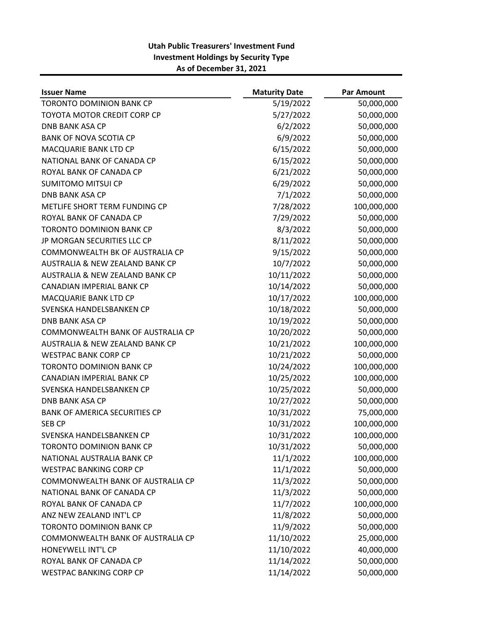| <b>Issuer Name</b>                         | <b>Maturity Date</b> | <b>Par Amount</b> |
|--------------------------------------------|----------------------|-------------------|
| <b>TORONTO DOMINION BANK CP</b>            | 5/19/2022            | 50,000,000        |
| TOYOTA MOTOR CREDIT CORP CP                | 5/27/2022            | 50,000,000        |
| <b>DNB BANK ASA CP</b>                     | 6/2/2022             | 50,000,000        |
| <b>BANK OF NOVA SCOTIA CP</b>              | 6/9/2022             | 50,000,000        |
| MACQUARIE BANK LTD CP                      | 6/15/2022            | 50,000,000        |
| NATIONAL BANK OF CANADA CP                 | 6/15/2022            | 50,000,000        |
| ROYAL BANK OF CANADA CP                    | 6/21/2022            | 50,000,000        |
| <b>SUMITOMO MITSUI CP</b>                  | 6/29/2022            | 50,000,000        |
| <b>DNB BANK ASA CP</b>                     | 7/1/2022             | 50,000,000        |
| METLIFE SHORT TERM FUNDING CP              | 7/28/2022            | 100,000,000       |
| ROYAL BANK OF CANADA CP                    | 7/29/2022            | 50,000,000        |
| <b>TORONTO DOMINION BANK CP</b>            | 8/3/2022             | 50,000,000        |
| JP MORGAN SECURITIES LLC CP                | 8/11/2022            | 50,000,000        |
| COMMONWEALTH BK OF AUSTRALIA CP            | 9/15/2022            | 50,000,000        |
| <b>AUSTRALIA &amp; NEW ZEALAND BANK CP</b> | 10/7/2022            | 50,000,000        |
| <b>AUSTRALIA &amp; NEW ZEALAND BANK CP</b> | 10/11/2022           | 50,000,000        |
| CANADIAN IMPERIAL BANK CP                  | 10/14/2022           | 50,000,000        |
| MACQUARIE BANK LTD CP                      | 10/17/2022           | 100,000,000       |
| SVENSKA HANDELSBANKEN CP                   | 10/18/2022           | 50,000,000        |
| <b>DNB BANK ASA CP</b>                     | 10/19/2022           | 50,000,000        |
| COMMONWEALTH BANK OF AUSTRALIA CP          | 10/20/2022           | 50,000,000        |
| AUSTRALIA & NEW ZEALAND BANK CP            | 10/21/2022           | 100,000,000       |
| <b>WESTPAC BANK CORP CP</b>                | 10/21/2022           | 50,000,000        |
| <b>TORONTO DOMINION BANK CP</b>            | 10/24/2022           | 100,000,000       |
| CANADIAN IMPERIAL BANK CP                  | 10/25/2022           | 100,000,000       |
| SVENSKA HANDELSBANKEN CP                   | 10/25/2022           | 50,000,000        |
| <b>DNB BANK ASA CP</b>                     | 10/27/2022           | 50,000,000        |
| <b>BANK OF AMERICA SECURITIES CP</b>       | 10/31/2022           | 75,000,000        |
| <b>SEB CP</b>                              | 10/31/2022           | 100,000,000       |
| SVENSKA HANDELSBANKEN CP                   | 10/31/2022           | 100,000,000       |
| <b>TORONTO DOMINION BANK CP</b>            | 10/31/2022           | 50,000,000        |
| NATIONAL AUSTRALIA BANK CP                 | 11/1/2022            | 100,000,000       |
| <b>WESTPAC BANKING CORP CP</b>             | 11/1/2022            | 50,000,000        |
| COMMONWEALTH BANK OF AUSTRALIA CP          | 11/3/2022            | 50,000,000        |
| NATIONAL BANK OF CANADA CP                 | 11/3/2022            | 50,000,000        |
| ROYAL BANK OF CANADA CP                    | 11/7/2022            | 100,000,000       |
| ANZ NEW ZEALAND INT'L CP                   | 11/8/2022            | 50,000,000        |
| <b>TORONTO DOMINION BANK CP</b>            | 11/9/2022            | 50,000,000        |
| COMMONWEALTH BANK OF AUSTRALIA CP          | 11/10/2022           | 25,000,000        |
| HONEYWELL INT'L CP                         | 11/10/2022           | 40,000,000        |
| ROYAL BANK OF CANADA CP                    | 11/14/2022           | 50,000,000        |
| <b>WESTPAC BANKING CORP CP</b>             | 11/14/2022           | 50,000,000        |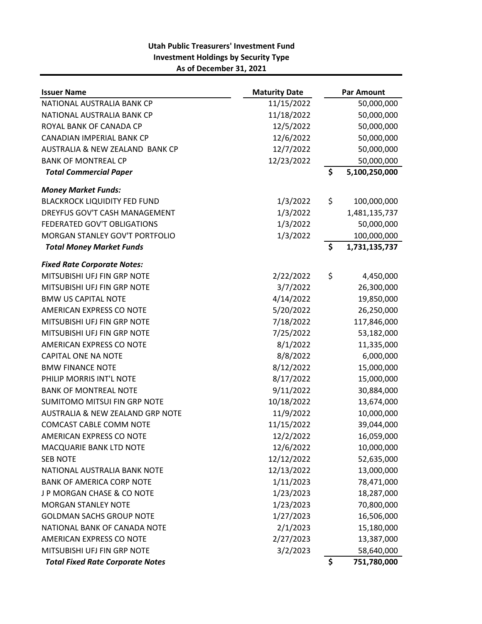| <b>Issuer Name</b>                      | <b>Maturity Date</b> | <b>Par Amount</b>   |
|-----------------------------------------|----------------------|---------------------|
| NATIONAL AUSTRALIA BANK CP              | 11/15/2022           | 50,000,000          |
| NATIONAL AUSTRALIA BANK CP              | 11/18/2022           | 50,000,000          |
| ROYAL BANK OF CANADA CP                 | 12/5/2022            | 50,000,000          |
| CANADIAN IMPERIAL BANK CP               | 12/6/2022            | 50,000,000          |
| AUSTRALIA & NEW ZEALAND BANK CP         | 12/7/2022            | 50,000,000          |
| <b>BANK OF MONTREAL CP</b>              | 12/23/2022           | 50,000,000          |
| <b>Total Commercial Paper</b>           |                      | \$<br>5,100,250,000 |
| <b>Money Market Funds:</b>              |                      |                     |
| <b>BLACKROCK LIQUIDITY FED FUND</b>     | 1/3/2022             | \$<br>100,000,000   |
| DREYFUS GOV'T CASH MANAGEMENT           | 1/3/2022             | 1,481,135,737       |
| FEDERATED GOV'T OBLIGATIONS             | 1/3/2022             | 50,000,000          |
| MORGAN STANLEY GOV'T PORTFOLIO          | 1/3/2022             | 100,000,000         |
| <b>Total Money Market Funds</b>         |                      | \$<br>1,731,135,737 |
| <b>Fixed Rate Corporate Notes:</b>      |                      |                     |
| MITSUBISHI UFJ FIN GRP NOTE             | 2/22/2022            | \$<br>4,450,000     |
| MITSUBISHI UFJ FIN GRP NOTE             | 3/7/2022             | 26,300,000          |
| <b>BMW US CAPITAL NOTE</b>              | 4/14/2022            | 19,850,000          |
| AMERICAN EXPRESS CO NOTE                | 5/20/2022            | 26,250,000          |
| MITSUBISHI UFJ FIN GRP NOTE             | 7/18/2022            | 117,846,000         |
| MITSUBISHI UFJ FIN GRP NOTE             | 7/25/2022            | 53,182,000          |
| AMERICAN EXPRESS CO NOTE                | 8/1/2022             | 11,335,000          |
| <b>CAPITAL ONE NA NOTE</b>              | 8/8/2022             | 6,000,000           |
| <b>BMW FINANCE NOTE</b>                 | 8/12/2022            | 15,000,000          |
| PHILIP MORRIS INT'L NOTE                | 8/17/2022            | 15,000,000          |
| <b>BANK OF MONTREAL NOTE</b>            | 9/11/2022            | 30,884,000          |
| SUMITOMO MITSUI FIN GRP NOTE            | 10/18/2022           | 13,674,000          |
| AUSTRALIA & NEW ZEALAND GRP NOTE        | 11/9/2022            | 10,000,000          |
| COMCAST CABLE COMM NOTE                 | 11/15/2022           | 39,044,000          |
| AMERICAN EXPRESS CO NOTE                | 12/2/2022            | 16,059,000          |
| MACQUARIE BANK LTD NOTE                 | 12/6/2022            | 10,000,000          |
| <b>SEB NOTE</b>                         | 12/12/2022           | 52,635,000          |
| NATIONAL AUSTRALIA BANK NOTE            | 12/13/2022           | 13,000,000          |
| <b>BANK OF AMERICA CORP NOTE</b>        | 1/11/2023            | 78,471,000          |
| J P MORGAN CHASE & CO NOTE              | 1/23/2023            | 18,287,000          |
| <b>MORGAN STANLEY NOTE</b>              | 1/23/2023            | 70,800,000          |
| <b>GOLDMAN SACHS GROUP NOTE</b>         | 1/27/2023            | 16,506,000          |
| NATIONAL BANK OF CANADA NOTE            | 2/1/2023             | 15,180,000          |
| AMERICAN EXPRESS CO NOTE                | 2/27/2023            | 13,387,000          |
| MITSUBISHI UFJ FIN GRP NOTE             | 3/2/2023             | 58,640,000          |
| <b>Total Fixed Rate Corporate Notes</b> |                      | \$<br>751,780,000   |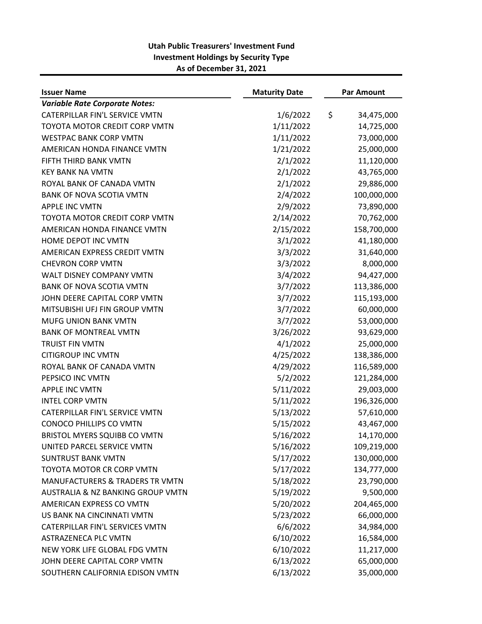| <b>Issuer Name</b>                         | <b>Maturity Date</b> | <b>Par Amount</b> |
|--------------------------------------------|----------------------|-------------------|
| <b>Variable Rate Corporate Notes:</b>      |                      |                   |
| CATERPILLAR FIN'L SERVICE VMTN             | 1/6/2022             | \$<br>34,475,000  |
| TOYOTA MOTOR CREDIT CORP VMTN              | 1/11/2022            | 14,725,000        |
| <b>WESTPAC BANK CORP VMTN</b>              | 1/11/2022            | 73,000,000        |
| AMERICAN HONDA FINANCE VMTN                | 1/21/2022            | 25,000,000        |
| FIFTH THIRD BANK VMTN                      | 2/1/2022             | 11,120,000        |
| <b>KEY BANK NA VMTN</b>                    | 2/1/2022             | 43,765,000        |
| ROYAL BANK OF CANADA VMTN                  | 2/1/2022             | 29,886,000        |
| <b>BANK OF NOVA SCOTIA VMTN</b>            | 2/4/2022             | 100,000,000       |
| <b>APPLE INC VMTN</b>                      | 2/9/2022             | 73,890,000        |
| TOYOTA MOTOR CREDIT CORP VMTN              | 2/14/2022            | 70,762,000        |
| AMERICAN HONDA FINANCE VMTN                | 2/15/2022            | 158,700,000       |
| HOME DEPOT INC VMTN                        | 3/1/2022             | 41,180,000        |
| AMERICAN EXPRESS CREDIT VMTN               | 3/3/2022             | 31,640,000        |
| <b>CHEVRON CORP VMTN</b>                   | 3/3/2022             | 8,000,000         |
| <b>WALT DISNEY COMPANY VMTN</b>            | 3/4/2022             | 94,427,000        |
| <b>BANK OF NOVA SCOTIA VMTN</b>            | 3/7/2022             | 113,386,000       |
| JOHN DEERE CAPITAL CORP VMTN               | 3/7/2022             | 115,193,000       |
| MITSUBISHI UFJ FIN GROUP VMTN              | 3/7/2022             | 60,000,000        |
| MUFG UNION BANK VMTN                       | 3/7/2022             | 53,000,000        |
| <b>BANK OF MONTREAL VMTN</b>               | 3/26/2022            | 93,629,000        |
| <b>TRUIST FIN VMTN</b>                     | 4/1/2022             | 25,000,000        |
| <b>CITIGROUP INC VMTN</b>                  | 4/25/2022            | 138,386,000       |
| ROYAL BANK OF CANADA VMTN                  | 4/29/2022            | 116,589,000       |
| PEPSICO INC VMTN                           | 5/2/2022             | 121,284,000       |
| <b>APPLE INC VMTN</b>                      | 5/11/2022            | 29,003,000        |
| <b>INTEL CORP VMTN</b>                     | 5/11/2022            | 196,326,000       |
| CATERPILLAR FIN'L SERVICE VMTN             | 5/13/2022            | 57,610,000        |
| CONOCO PHILLIPS CO VMTN                    | 5/15/2022            | 43,467,000        |
| <b>BRISTOL MYERS SQUIBB CO VMTN</b>        | 5/16/2022            | 14,170,000        |
| UNITED PARCEL SERVICE VMTN                 | 5/16/2022            | 109,219,000       |
| <b>SUNTRUST BANK VMTN</b>                  | 5/17/2022            | 130,000,000       |
| TOYOTA MOTOR CR CORP VMTN                  | 5/17/2022            | 134,777,000       |
| <b>MANUFACTURERS &amp; TRADERS TR VMTN</b> | 5/18/2022            | 23,790,000        |
| AUSTRALIA & NZ BANKING GROUP VMTN          | 5/19/2022            | 9,500,000         |
| AMERICAN EXPRESS CO VMTN                   | 5/20/2022            | 204,465,000       |
| US BANK NA CINCINNATI VMTN                 | 5/23/2022            | 66,000,000        |
| CATERPILLAR FIN'L SERVICES VMTN            | 6/6/2022             | 34,984,000        |
| <b>ASTRAZENECA PLC VMTN</b>                | 6/10/2022            | 16,584,000        |
| NEW YORK LIFE GLOBAL FDG VMTN              | 6/10/2022            | 11,217,000        |
| JOHN DEERE CAPITAL CORP VMTN               | 6/13/2022            | 65,000,000        |
| SOUTHERN CALIFORNIA EDISON VMTN            | 6/13/2022            | 35,000,000        |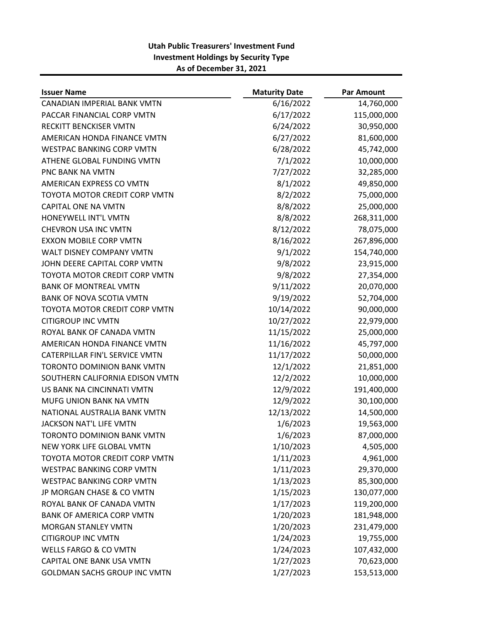| <b>Issuer Name</b>                   | <b>Maturity Date</b> | <b>Par Amount</b> |
|--------------------------------------|----------------------|-------------------|
| CANADIAN IMPERIAL BANK VMTN          | 6/16/2022            | 14,760,000        |
| PACCAR FINANCIAL CORP VMTN           | 6/17/2022            | 115,000,000       |
| RECKITT BENCKISER VMTN               | 6/24/2022            | 30,950,000        |
| AMERICAN HONDA FINANCE VMTN          | 6/27/2022            | 81,600,000        |
| <b>WESTPAC BANKING CORP VMTN</b>     | 6/28/2022            | 45,742,000        |
| ATHENE GLOBAL FUNDING VMTN           | 7/1/2022             | 10,000,000        |
| PNC BANK NA VMTN                     | 7/27/2022            | 32,285,000        |
| AMERICAN EXPRESS CO VMTN             | 8/1/2022             | 49,850,000        |
| TOYOTA MOTOR CREDIT CORP VMTN        | 8/2/2022             | 75,000,000        |
| CAPITAL ONE NA VMTN                  | 8/8/2022             | 25,000,000        |
| HONEYWELL INT'L VMTN                 | 8/8/2022             | 268,311,000       |
| <b>CHEVRON USA INC VMTN</b>          | 8/12/2022            | 78,075,000        |
| <b>EXXON MOBILE CORP VMTN</b>        | 8/16/2022            | 267,896,000       |
| <b>WALT DISNEY COMPANY VMTN</b>      | 9/1/2022             | 154,740,000       |
| JOHN DEERE CAPITAL CORP VMTN         | 9/8/2022             | 23,915,000        |
| <b>TOYOTA MOTOR CREDIT CORP VMTN</b> | 9/8/2022             | 27,354,000        |
| <b>BANK OF MONTREAL VMTN</b>         | 9/11/2022            | 20,070,000        |
| <b>BANK OF NOVA SCOTIA VMTN</b>      | 9/19/2022            | 52,704,000        |
| TOYOTA MOTOR CREDIT CORP VMTN        | 10/14/2022           | 90,000,000        |
| <b>CITIGROUP INC VMTN</b>            | 10/27/2022           | 22,979,000        |
| ROYAL BANK OF CANADA VMTN            | 11/15/2022           | 25,000,000        |
| AMERICAN HONDA FINANCE VMTN          | 11/16/2022           | 45,797,000        |
| CATERPILLAR FIN'L SERVICE VMTN       | 11/17/2022           | 50,000,000        |
| <b>TORONTO DOMINION BANK VMTN</b>    | 12/1/2022            | 21,851,000        |
| SOUTHERN CALIFORNIA EDISON VMTN      | 12/2/2022            | 10,000,000        |
| US BANK NA CINCINNATI VMTN           | 12/9/2022            | 191,400,000       |
| MUFG UNION BANK NA VMTN              | 12/9/2022            | 30,100,000        |
| NATIONAL AUSTRALIA BANK VMTN         | 12/13/2022           | 14,500,000        |
| JACKSON NAT'L LIFE VMTN              | 1/6/2023             | 19,563,000        |
| TORONTO DOMINION BANK VMTN           | 1/6/2023             | 87,000,000        |
| NEW YORK LIFE GLOBAL VMTN            | 1/10/2023            | 4,505,000         |
| TOYOTA MOTOR CREDIT CORP VMTN        | 1/11/2023            | 4,961,000         |
| <b>WESTPAC BANKING CORP VMTN</b>     | 1/11/2023            | 29,370,000        |
| <b>WESTPAC BANKING CORP VMTN</b>     | 1/13/2023            | 85,300,000        |
| JP MORGAN CHASE & CO VMTN            | 1/15/2023            | 130,077,000       |
| ROYAL BANK OF CANADA VMTN            | 1/17/2023            | 119,200,000       |
| <b>BANK OF AMERICA CORP VMTN</b>     | 1/20/2023            | 181,948,000       |
| <b>MORGAN STANLEY VMTN</b>           | 1/20/2023            | 231,479,000       |
| <b>CITIGROUP INC VMTN</b>            | 1/24/2023            | 19,755,000        |
| <b>WELLS FARGO &amp; CO VMTN</b>     | 1/24/2023            | 107,432,000       |
| CAPITAL ONE BANK USA VMTN            | 1/27/2023            | 70,623,000        |
| GOLDMAN SACHS GROUP INC VMTN         | 1/27/2023            | 153,513,000       |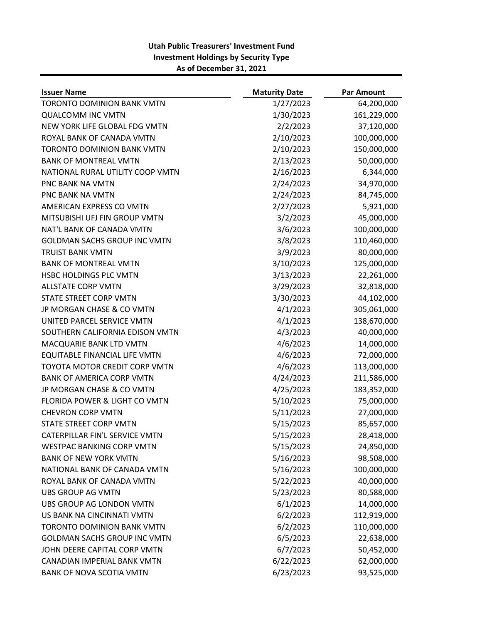| <b>Issuer Name</b>                       | <b>Maturity Date</b> | <b>Par Amount</b> |
|------------------------------------------|----------------------|-------------------|
| <b>TORONTO DOMINION BANK VMTN</b>        | 1/27/2023            | 64,200,000        |
| <b>QUALCOMM INC VMTN</b>                 | 1/30/2023            | 161,229,000       |
| NEW YORK LIFE GLOBAL FDG VMTN            | 2/2/2023             | 37,120,000        |
| ROYAL BANK OF CANADA VMTN                | 2/10/2023            | 100,000,000       |
| <b>TORONTO DOMINION BANK VMTN</b>        | 2/10/2023            | 150,000,000       |
| <b>BANK OF MONTREAL VMTN</b>             | 2/13/2023            | 50,000,000        |
| NATIONAL RURAL UTILITY COOP VMTN         | 2/16/2023            | 6,344,000         |
| <b>PNC BANK NA VMTN</b>                  | 2/24/2023            | 34,970,000        |
| <b>PNC BANK NA VMTN</b>                  | 2/24/2023            | 84,745,000        |
| AMERICAN EXPRESS CO VMTN                 | 2/27/2023            | 5,921,000         |
| MITSUBISHI UFJ FIN GROUP VMTN            | 3/2/2023             | 45,000,000        |
| NAT'L BANK OF CANADA VMTN                | 3/6/2023             | 100,000,000       |
| <b>GOLDMAN SACHS GROUP INC VMTN</b>      | 3/8/2023             | 110,460,000       |
| <b>TRUIST BANK VMTN</b>                  | 3/9/2023             | 80,000,000        |
| <b>BANK OF MONTREAL VMTN</b>             | 3/10/2023            | 125,000,000       |
| HSBC HOLDINGS PLC VMTN                   | 3/13/2023            | 22,261,000        |
| <b>ALLSTATE CORP VMTN</b>                | 3/29/2023            | 32,818,000        |
| STATE STREET CORP VMTN                   | 3/30/2023            | 44,102,000        |
| JP MORGAN CHASE & CO VMTN                | 4/1/2023             | 305,061,000       |
| UNITED PARCEL SERVICE VMTN               | 4/1/2023             | 138,670,000       |
| SOUTHERN CALIFORNIA EDISON VMTN          | 4/3/2023             | 40,000,000        |
| MACQUARIE BANK LTD VMTN                  | 4/6/2023             | 14,000,000        |
| EQUITABLE FINANCIAL LIFE VMTN            | 4/6/2023             | 72,000,000        |
| TOYOTA MOTOR CREDIT CORP VMTN            | 4/6/2023             | 113,000,000       |
| <b>BANK OF AMERICA CORP VMTN</b>         | 4/24/2023            | 211,586,000       |
| JP MORGAN CHASE & CO VMTN                | 4/25/2023            | 183,352,000       |
| <b>FLORIDA POWER &amp; LIGHT CO VMTN</b> | 5/10/2023            | 75,000,000        |
| <b>CHEVRON CORP VMTN</b>                 | 5/11/2023            | 27,000,000        |
| STATE STREET CORP VMTN                   | 5/15/2023            | 85,657,000        |
| CATERPILLAR FIN'L SERVICE VMTN           | 5/15/2023            | 28,418,000        |
| <b>WESTPAC BANKING CORP VMTN</b>         | 5/15/2023            | 24,850,000        |
| <b>BANK OF NEW YORK VMTN</b>             | 5/16/2023            | 98,508,000        |
| NATIONAL BANK OF CANADA VMTN             | 5/16/2023            | 100,000,000       |
| ROYAL BANK OF CANADA VMTN                | 5/22/2023            | 40,000,000        |
| <b>UBS GROUP AG VMTN</b>                 | 5/23/2023            | 80,588,000        |
| UBS GROUP AG LONDON VMTN                 | 6/1/2023             | 14,000,000        |
| US BANK NA CINCINNATI VMTN               | 6/2/2023             | 112,919,000       |
| <b>TORONTO DOMINION BANK VMTN</b>        | 6/2/2023             | 110,000,000       |
| <b>GOLDMAN SACHS GROUP INC VMTN</b>      | 6/5/2023             | 22,638,000        |
| JOHN DEERE CAPITAL CORP VMTN             | 6/7/2023             | 50,452,000        |
| CANADIAN IMPERIAL BANK VMTN              | 6/22/2023            | 62,000,000        |
| <b>BANK OF NOVA SCOTIA VMTN</b>          | 6/23/2023            | 93,525,000        |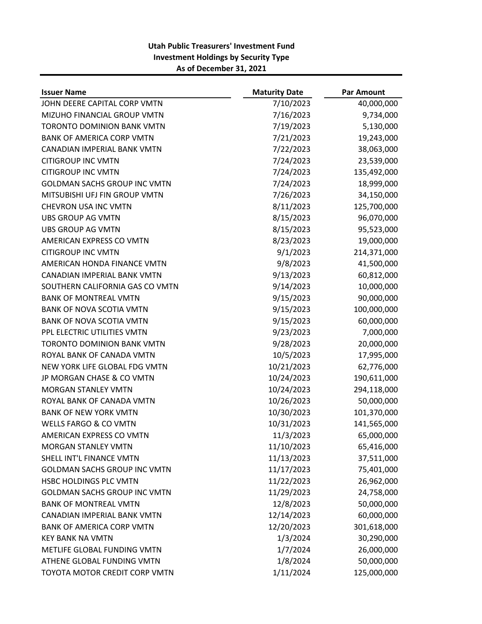| <b>Issuer Name</b>                  | <b>Maturity Date</b> | <b>Par Amount</b> |
|-------------------------------------|----------------------|-------------------|
| JOHN DEERE CAPITAL CORP VMTN        | 7/10/2023            | 40,000,000        |
| MIZUHO FINANCIAL GROUP VMTN         | 7/16/2023            | 9,734,000         |
| <b>TORONTO DOMINION BANK VMTN</b>   | 7/19/2023            | 5,130,000         |
| <b>BANK OF AMERICA CORP VMTN</b>    | 7/21/2023            | 19,243,000        |
| CANADIAN IMPERIAL BANK VMTN         | 7/22/2023            | 38,063,000        |
| <b>CITIGROUP INC VMTN</b>           | 7/24/2023            | 23,539,000        |
| <b>CITIGROUP INC VMTN</b>           | 7/24/2023            | 135,492,000       |
| <b>GOLDMAN SACHS GROUP INC VMTN</b> | 7/24/2023            | 18,999,000        |
| MITSUBISHI UFJ FIN GROUP VMTN       | 7/26/2023            | 34,150,000        |
| <b>CHEVRON USA INC VMTN</b>         | 8/11/2023            | 125,700,000       |
| <b>UBS GROUP AG VMTN</b>            | 8/15/2023            | 96,070,000        |
| <b>UBS GROUP AG VMTN</b>            | 8/15/2023            | 95,523,000        |
| AMERICAN EXPRESS CO VMTN            | 8/23/2023            | 19,000,000        |
| <b>CITIGROUP INC VMTN</b>           | 9/1/2023             | 214,371,000       |
| AMERICAN HONDA FINANCE VMTN         | 9/8/2023             | 41,500,000        |
| CANADIAN IMPERIAL BANK VMTN         | 9/13/2023            | 60,812,000        |
| SOUTHERN CALIFORNIA GAS CO VMTN     | 9/14/2023            | 10,000,000        |
| <b>BANK OF MONTREAL VMTN</b>        | 9/15/2023            | 90,000,000        |
| <b>BANK OF NOVA SCOTIA VMTN</b>     | 9/15/2023            | 100,000,000       |
| <b>BANK OF NOVA SCOTIA VMTN</b>     | 9/15/2023            | 60,000,000        |
| PPL ELECTRIC UTILITIES VMTN         | 9/23/2023            | 7,000,000         |
| <b>TORONTO DOMINION BANK VMTN</b>   | 9/28/2023            | 20,000,000        |
| ROYAL BANK OF CANADA VMTN           | 10/5/2023            | 17,995,000        |
| NEW YORK LIFE GLOBAL FDG VMTN       | 10/21/2023           | 62,776,000        |
| JP MORGAN CHASE & CO VMTN           | 10/24/2023           | 190,611,000       |
| <b>MORGAN STANLEY VMTN</b>          | 10/24/2023           | 294,118,000       |
| ROYAL BANK OF CANADA VMTN           | 10/26/2023           | 50,000,000        |
| <b>BANK OF NEW YORK VMTN</b>        | 10/30/2023           | 101,370,000       |
| <b>WELLS FARGO &amp; CO VMTN</b>    | 10/31/2023           | 141,565,000       |
| AMERICAN EXPRESS CO VMTN            | 11/3/2023            | 65,000,000        |
| <b>MORGAN STANLEY VMTN</b>          | 11/10/2023           | 65,416,000        |
| SHELL INT'L FINANCE VMTN            | 11/13/2023           | 37,511,000        |
| <b>GOLDMAN SACHS GROUP INC VMTN</b> | 11/17/2023           | 75,401,000        |
| HSBC HOLDINGS PLC VMTN              | 11/22/2023           | 26,962,000        |
| <b>GOLDMAN SACHS GROUP INC VMTN</b> | 11/29/2023           | 24,758,000        |
| <b>BANK OF MONTREAL VMTN</b>        | 12/8/2023            | 50,000,000        |
| CANADIAN IMPERIAL BANK VMTN         | 12/14/2023           | 60,000,000        |
| <b>BANK OF AMERICA CORP VMTN</b>    | 12/20/2023           | 301,618,000       |
| <b>KEY BANK NA VMTN</b>             | 1/3/2024             | 30,290,000        |
| METLIFE GLOBAL FUNDING VMTN         | 1/7/2024             | 26,000,000        |
| ATHENE GLOBAL FUNDING VMTN          | 1/8/2024             | 50,000,000        |
| TOYOTA MOTOR CREDIT CORP VMTN       | 1/11/2024            | 125,000,000       |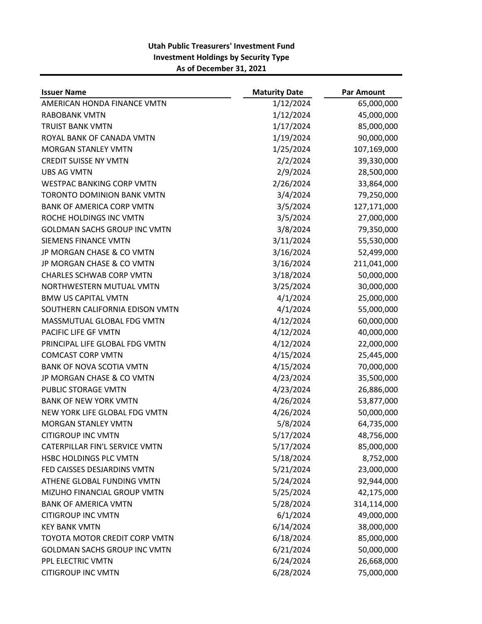| <b>Issuer Name</b>                  | <b>Maturity Date</b> | <b>Par Amount</b> |
|-------------------------------------|----------------------|-------------------|
| AMERICAN HONDA FINANCE VMTN         | 1/12/2024            | 65,000,000        |
| <b>RABOBANK VMTN</b>                | 1/12/2024            | 45,000,000        |
| <b>TRUIST BANK VMTN</b>             | 1/17/2024            | 85,000,000        |
| ROYAL BANK OF CANADA VMTN           | 1/19/2024            | 90,000,000        |
| <b>MORGAN STANLEY VMTN</b>          | 1/25/2024            | 107,169,000       |
| <b>CREDIT SUISSE NY VMTN</b>        | 2/2/2024             | 39,330,000        |
| <b>UBS AG VMTN</b>                  | 2/9/2024             | 28,500,000        |
| <b>WESTPAC BANKING CORP VMTN</b>    | 2/26/2024            | 33,864,000        |
| <b>TORONTO DOMINION BANK VMTN</b>   | 3/4/2024             | 79,250,000        |
| <b>BANK OF AMERICA CORP VMTN</b>    | 3/5/2024             | 127,171,000       |
| ROCHE HOLDINGS INC VMTN             | 3/5/2024             | 27,000,000        |
| <b>GOLDMAN SACHS GROUP INC VMTN</b> | 3/8/2024             | 79,350,000        |
| SIEMENS FINANCE VMTN                | 3/11/2024            | 55,530,000        |
| JP MORGAN CHASE & CO VMTN           | 3/16/2024            | 52,499,000        |
| JP MORGAN CHASE & CO VMTN           | 3/16/2024            | 211,041,000       |
| <b>CHARLES SCHWAB CORP VMTN</b>     | 3/18/2024            | 50,000,000        |
| NORTHWESTERN MUTUAL VMTN            | 3/25/2024            | 30,000,000        |
| <b>BMW US CAPITAL VMTN</b>          | 4/1/2024             | 25,000,000        |
| SOUTHERN CALIFORNIA EDISON VMTN     | 4/1/2024             | 55,000,000        |
| MASSMUTUAL GLOBAL FDG VMTN          | 4/12/2024            | 60,000,000        |
| PACIFIC LIFE GF VMTN                | 4/12/2024            | 40,000,000        |
| PRINCIPAL LIFE GLOBAL FDG VMTN      | 4/12/2024            | 22,000,000        |
| <b>COMCAST CORP VMTN</b>            | 4/15/2024            | 25,445,000        |
| <b>BANK OF NOVA SCOTIA VMTN</b>     | 4/15/2024            | 70,000,000        |
| JP MORGAN CHASE & CO VMTN           | 4/23/2024            | 35,500,000        |
| PUBLIC STORAGE VMTN                 | 4/23/2024            | 26,886,000        |
| <b>BANK OF NEW YORK VMTN</b>        | 4/26/2024            | 53,877,000        |
| NEW YORK LIFE GLOBAL FDG VMTN       | 4/26/2024            | 50,000,000        |
| <b>MORGAN STANLEY VMTN</b>          | 5/8/2024             | 64,735,000        |
| <b>CITIGROUP INC VMTN</b>           | 5/17/2024            | 48,756,000        |
| CATERPILLAR FIN'L SERVICE VMTN      | 5/17/2024            | 85,000,000        |
| HSBC HOLDINGS PLC VMTN              | 5/18/2024            | 8,752,000         |
| FED CAISSES DESJARDINS VMTN         | 5/21/2024            | 23,000,000        |
| ATHENE GLOBAL FUNDING VMTN          | 5/24/2024            | 92,944,000        |
| MIZUHO FINANCIAL GROUP VMTN         | 5/25/2024            | 42,175,000        |
| <b>BANK OF AMERICA VMTN</b>         | 5/28/2024            | 314,114,000       |
| <b>CITIGROUP INC VMTN</b>           | 6/1/2024             | 49,000,000        |
| <b>KEY BANK VMTN</b>                | 6/14/2024            | 38,000,000        |
| TOYOTA MOTOR CREDIT CORP VMTN       | 6/18/2024            | 85,000,000        |
| GOLDMAN SACHS GROUP INC VMTN        | 6/21/2024            | 50,000,000        |
| PPL ELECTRIC VMTN                   | 6/24/2024            | 26,668,000        |
| <b>CITIGROUP INC VMTN</b>           | 6/28/2024            | 75,000,000        |